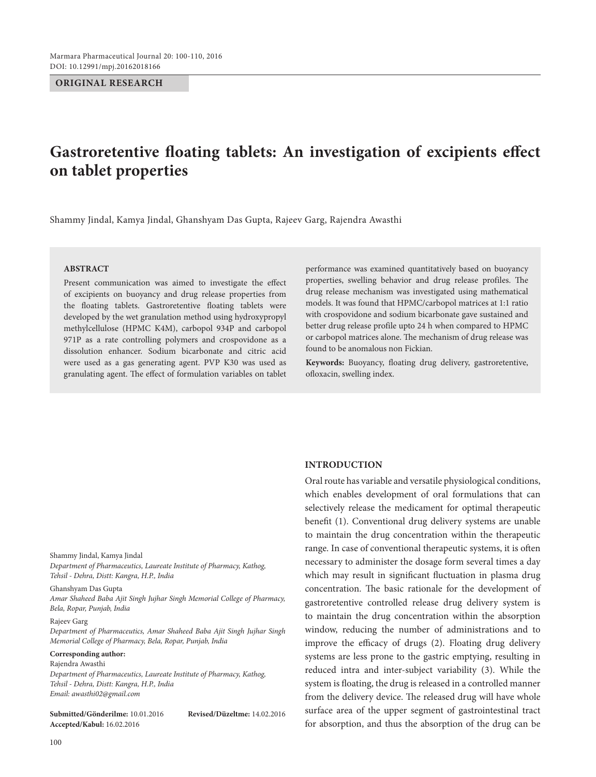## **ORIGINAL RESEARCH**

# **Gastroretentive floating tablets: An investigation of excipients effect on tablet properties**

Shammy Jindal, Kamya Jindal, Ghanshyam Das Gupta, Rajeev Garg, Rajendra Awasthi

# **ABSTRACT**

Present communication was aimed to investigate the effect of excipients on buoyancy and drug release properties from the floating tablets. Gastroretentive floating tablets were developed by the wet granulation method using hydroxypropyl methylcellulose (HPMC K4M), carbopol 934P and carbopol 971P as a rate controlling polymers and crospovidone as a dissolution enhancer. Sodium bicarbonate and citric acid were used as a gas generating agent. PVP K30 was used as granulating agent. The effect of formulation variables on tablet performance was examined quantitatively based on buoyancy properties, swelling behavior and drug release profiles. The drug release mechanism was investigated using mathematical models. It was found that HPMC/carbopol matrices at 1:1 ratio with crospovidone and sodium bicarbonate gave sustained and better drug release profile upto 24 h when compared to HPMC or carbopol matrices alone. The mechanism of drug release was found to be anomalous non Fickian.

**Keywords:** Buoyancy, floating drug delivery, gastroretentive, ofloxacin, swelling index.

**INTRODUCTION**

Oral route has variable and versatile physiological conditions, which enables development of oral formulations that can selectively release the medicament for optimal therapeutic benefit (1). Conventional drug delivery systems are unable to maintain the drug concentration within the therapeutic range. In case of conventional therapeutic systems, it is often necessary to administer the dosage form several times a day which may result in significant fluctuation in plasma drug concentration. The basic rationale for the development of gastroretentive controlled release drug delivery system is to maintain the drug concentration within the absorption window, reducing the number of administrations and to improve the efficacy of drugs (2). Floating drug delivery systems are less prone to the gastric emptying, resulting in reduced intra and inter-subject variability (3). While the system is floating, the drug is released in a controlled manner from the delivery device. The released drug will have whole surface area of the upper segment of gastrointestinal tract for absorption, and thus the absorption of the drug can be

#### Shammy Jindal, Kamya Jindal

*Department of Pharmaceutics, Laureate Institute of Pharmacy, Kathog, Tehsil - Dehra, Distt: Kangra, H.P., India*

Ghanshyam Das Gupta

*Amar Shaheed Baba Ajit Singh Jujhar Singh Memorial College of Pharmacy, Bela, Ropar, Punjab, India*

### Rajeev Garg

*Department of Pharmaceutics, Amar Shaheed Baba Ajit Singh Jujhar Singh Memorial College of Pharmacy, Bela, Ropar, Punjab, India*

# **Corresponding author:**

Rajendra Awasthi *Department of Pharmaceutics, Laureate Institute of Pharmacy, Kathog, Tehsil - Dehra, Distt: Kangra, H.P., India Email: awasthi02@gmail.com*

**Submitted/Gönderilme:** 10.01.2016 **Revised/Düzeltme:** 14.02.2016 **Accepted/Kabul:** 16.02.2016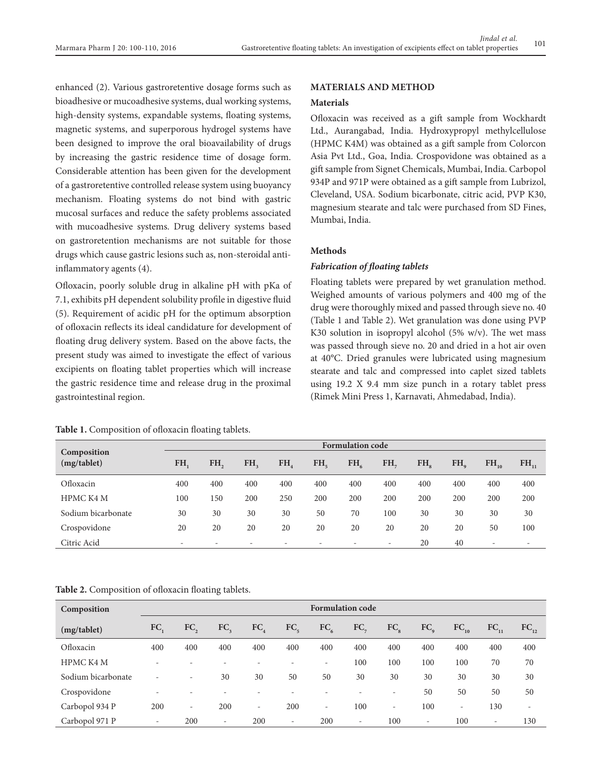enhanced (2). Various gastroretentive dosage forms such as bioadhesive or mucoadhesive systems, dual working systems, high-density systems, expandable systems, floating systems, magnetic systems, and superporous hydrogel systems have been designed to improve the oral bioavailability of drugs by increasing the gastric residence time of dosage form. Considerable attention has been given for the development of a gastroretentive controlled release system using buoyancy mechanism. Floating systems do not bind with gastric mucosal surfaces and reduce the safety problems associated with mucoadhesive systems. Drug delivery systems based on gastroretention mechanisms are not suitable for those drugs which cause gastric lesions such as, non-steroidal antiinflammatory agents (4).

Ofloxacin, poorly soluble drug in alkaline pH with pKa of 7.1, exhibits pH dependent solubility profile in digestive fluid (5). Requirement of acidic pH for the optimum absorption of ofloxacin reflects its ideal candidature for development of floating drug delivery system. Based on the above facts, the present study was aimed to investigate the effect of various excipients on floating tablet properties which will increase the gastric residence time and release drug in the proximal gastrointestinal region.

#### Table 1. Composition of ofloxacin floating tablets.

# **MATERIALS AND METHOD**

#### **Materials**

Ofloxacin was received as a gift sample from Wockhardt Ltd., Aurangabad, India. Hydroxypropyl methylcellulose (HPMC K4M) was obtained as a gift sample from Colorcon Asia Pvt Ltd., Goa, India. Crospovidone was obtained as a gift sample from Signet Chemicals, Mumbai, India. Carbopol 934P and 971P were obtained as a gift sample from Lubrizol, Cleveland, USA. Sodium bicarbonate, citric acid, PVP K30, magnesium stearate and talc were purchased from SD Fines, Mumbai, India.

# **Methods**

# *Fabrication of floating tablets*

Floating tablets were prepared by wet granulation method. Weighed amounts of various polymers and 400 mg of the drug were thoroughly mixed and passed through sieve no. 40 (Table 1 and Table 2). Wet granulation was done using PVP K30 solution in isopropyl alcohol  $(5\% \text{ w/v})$ . The wet mass was passed through sieve no. 20 and dried in a hot air oven at 40°C. Dried granules were lubricated using magnesium stearate and talc and compressed into caplet sized tablets using 19.2 X 9.4 mm size punch in a rotary tablet press (Rimek Mini Press 1, Karnavati, Ahmedabad, India).

| Composition<br>(mg/tablet) |                          | <b>Formulation code</b>  |     |                          |                          |          |                          |     |     |                          |                          |
|----------------------------|--------------------------|--------------------------|-----|--------------------------|--------------------------|----------|--------------------------|-----|-----|--------------------------|--------------------------|
|                            | FH.                      | FH.                      | FH. | FH.                      | FH.                      | $FH_{6}$ | FH.                      | FH. | FH. | $FH_{10}$                | $FH_{11}$                |
| Ofloxacin                  | 400                      | 400                      | 400 | 400                      | 400                      | 400      | 400                      | 400 | 400 | 400                      | 400                      |
| HPMC K4 M                  | 100                      | 150                      | 200 | 250                      | 200                      | 200      | 200                      | 200 | 200 | 200                      | 200                      |
| Sodium bicarbonate         | 30                       | 30                       | 30  | 30                       | 50                       | 70       | 100                      | 30  | 30  | 30                       | 30                       |
| Crospovidone               | 20                       | 20                       | 20  | 20                       | 20                       | 20       | 20                       | 20  | 20  | 50                       | 100                      |
| Citric Acid                | $\overline{\phantom{0}}$ | $\overline{\phantom{0}}$ | -   | $\overline{\phantom{0}}$ | $\overline{\phantom{a}}$ |          | $\overline{\phantom{0}}$ | 20  | 40  | $\overline{\phantom{a}}$ | $\overline{\phantom{a}}$ |

**Table 2.** Composition of ofloxacin floating tablets.

| Composition        | <b>Formulation code</b>  |                          |                          |                          |                          |                          |                          |                          |                          |                          |                          |                          |
|--------------------|--------------------------|--------------------------|--------------------------|--------------------------|--------------------------|--------------------------|--------------------------|--------------------------|--------------------------|--------------------------|--------------------------|--------------------------|
| (mg/tablet)        | FC.                      | FC,                      | FC <sub>3</sub>          | FC <sub>4</sub>          | FC <sub>5</sub>          | FC <sub>6</sub>          | $FC_{\tau}$              | FC <sub>s</sub>          | FC <sub>o</sub>          | $FC_{10}$                | $FC_{11}$                | FC <sub>12</sub>         |
| Ofloxacin          | 400                      | 400                      | 400                      | 400                      | 400                      | 400                      | 400                      | 400                      | 400                      | 400                      | 400                      | 400                      |
| HPMC K4 M          | ۰                        |                          |                          |                          |                          | $\overline{\phantom{a}}$ | 100                      | 100                      | 100                      | 100                      | 70                       | 70                       |
| Sodium bicarbonate | $\overline{\phantom{0}}$ | $\overline{\phantom{a}}$ | 30                       | 30                       | 50                       | 50                       | 30                       | 30                       | 30                       | 30                       | 30                       | 30                       |
| Crospovidone       | ۰                        | $\overline{\phantom{a}}$ |                          |                          |                          | $\overline{\phantom{0}}$ | $\overline{\phantom{a}}$ | $\overline{\phantom{a}}$ | 50                       | 50                       | 50                       | 50                       |
| Carbopol 934 P     | 200                      | $\overline{\phantom{a}}$ | 200                      | $\overline{\phantom{0}}$ | 200                      | $\overline{\phantom{a}}$ | 100                      | $\overline{\phantom{0}}$ | 100                      | $\overline{\phantom{0}}$ | 130                      | $\overline{\phantom{a}}$ |
| Carbopol 971 P     | $\overline{\phantom{0}}$ | 200                      | $\overline{\phantom{0}}$ | 200                      | $\overline{\phantom{0}}$ | 200                      | $\overline{\phantom{a}}$ | 100                      | $\overline{\phantom{a}}$ | 100                      | $\overline{\phantom{a}}$ | 130                      |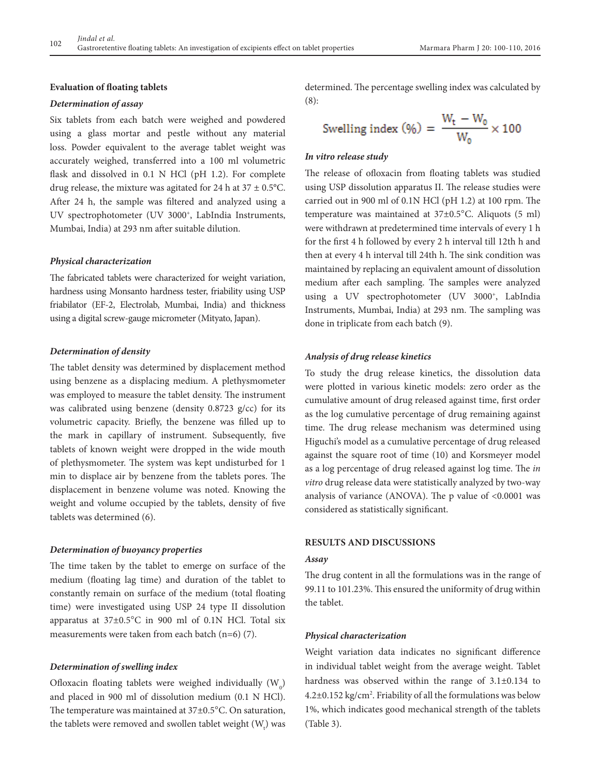# **Evaluation of floating tablets**

# *Determination of assay*

Six tablets from each batch were weighed and powdered using a glass mortar and pestle without any material loss. Powder equivalent to the average tablet weight was accurately weighed, transferred into a 100 ml volumetric flask and dissolved in 0.1 N HCl (pH 1.2). For complete drug release, the mixture was agitated for 24 h at  $37 \pm 0.5$ °C. After 24 h, the sample was filtered and analyzed using a UV spectrophotometer (UV 3000+, LabIndia Instruments, Mumbai, India) at 293 nm after suitable dilution.

#### *Physical characterization*

The fabricated tablets were characterized for weight variation, hardness using Monsanto hardness tester, friability using USP friabilator (EF-2, Electrolab, Mumbai, India) and thickness using a digital screw-gauge micrometer (Mityato, Japan).

#### *Determination of density*

The tablet density was determined by displacement method using benzene as a displacing medium. A plethysmometer was employed to measure the tablet density. The instrument was calibrated using benzene (density 0.8723 g/cc) for its volumetric capacity. Briefly, the benzene was filled up to the mark in capillary of instrument. Subsequently, five tablets of known weight were dropped in the wide mouth of plethysmometer. The system was kept undisturbed for 1 min to displace air by benzene from the tablets pores. The displacement in benzene volume was noted. Knowing the weight and volume occupied by the tablets, density of five tablets was determined (6).

#### *Determination of buoyancy properties*

The time taken by the tablet to emerge on surface of the medium (floating lag time) and duration of the tablet to constantly remain on surface of the medium (total floating time) were investigated using USP 24 type II dissolution apparatus at 37±0.5°C in 900 ml of 0.1N HCl. Total six measurements were taken from each batch (n=6) (7).

#### *Determination of swelling index*

Ofloxacin floating tablets were weighed individually  $(W_0)$ and placed in 900 ml of dissolution medium (0.1 N HCl). The temperature was maintained at 37±0.5°C. On saturation, the tablets were removed and swollen tablet weight  $(\mathsf{W}_{_{\!t}}\!)$  was determined. The percentage swelling index was calculated by (8):

Swelling index (%) = 
$$
\frac{W_t - W_0}{W_0} \times 100
$$

#### *In vitro release study*

The release of ofloxacin from floating tablets was studied using USP dissolution apparatus II. The release studies were carried out in 900 ml of 0.1N HCl (pH 1.2) at 100 rpm. The temperature was maintained at 37±0.5°C. Aliquots (5 ml) were withdrawn at predetermined time intervals of every 1 h for the first 4 h followed by every 2 h interval till 12th h and then at every 4 h interval till 24th h. The sink condition was maintained by replacing an equivalent amount of dissolution medium after each sampling. The samples were analyzed using a UV spectrophotometer (UV 3000+, LabIndia Instruments, Mumbai, India) at 293 nm. The sampling was done in triplicate from each batch (9).

# *Analysis of drug release kinetics*

To study the drug release kinetics, the dissolution data were plotted in various kinetic models: zero order as the cumulative amount of drug released against time, first order as the log cumulative percentage of drug remaining against time. The drug release mechanism was determined using Higuchi's model as a cumulative percentage of drug released against the square root of time (10) and Korsmeyer model as a log percentage of drug released against log time. The *in vitro* drug release data were statistically analyzed by two-way analysis of variance (ANOVA). The p value of <0.0001 was considered as statistically significant.

# **RESULTS and DISCUSSIONS**

#### *Assay*

The drug content in all the formulations was in the range of 99.11 to 101.23%. This ensured the uniformity of drug within the tablet.

#### *Physical characterization*

Weight variation data indicates no significant difference in individual tablet weight from the average weight. Tablet hardness was observed within the range of 3.1±0.134 to 4.2±0.152 kg/cm2 . Friability of all the formulations was below 1%, which indicates good mechanical strength of the tablets (Table 3).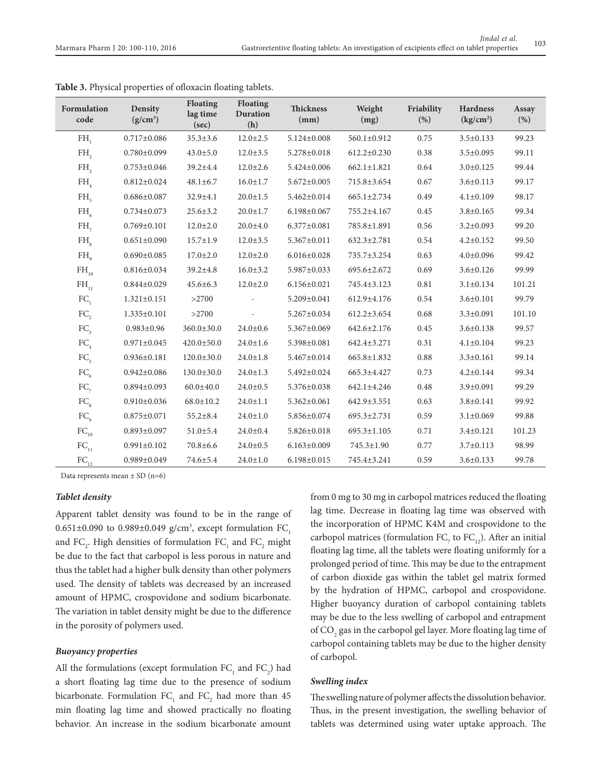| <b>Formulation</b><br>code | Density<br>$(g/cm^3)$ | <b>Floating</b><br>lag time<br>(sec) | <b>Floating</b><br><b>Duration</b><br>(h) | <b>Thickness</b><br>(mm) | Weight<br>(mg)    | Friability<br>(% ) | <b>Hardness</b><br>$\frac{\text{kg}}{\text{cm}^2}$ | Assay<br>(%) |
|----------------------------|-----------------------|--------------------------------------|-------------------------------------------|--------------------------|-------------------|--------------------|----------------------------------------------------|--------------|
| FH,                        | $0.717 \pm 0.086$     | $35.3 \pm 3.6$                       | $12.0 \pm 2.5$                            | 5.124±0.008              | 560.1±0.912       | 0.75               | $3.5 \pm 0.133$                                    | 99.23        |
| FH,                        | $0.780 \pm 0.099$     | $43.0 \pm 5.0$                       | $12.0 \pm 3.5$                            | 5.278±0.018              | $612.2 \pm 0.230$ | 0.38               | $3.5 \pm 0.095$                                    | 99.11        |
| FH <sub>3</sub>            | $0.753 \pm 0.046$     | $39.2 \pm 4.4$                       | $12.0 \pm 2.6$                            | $5.424 \pm 0.006$        | $662.1 \pm 1.821$ | 0.64               | $3.0 \pm 0.125$                                    | 99.44        |
| $FH$ <sub>4</sub>          | $0.812 \pm 0.024$     | $48.1 \pm 6.7$                       | $16.0 \pm 1.7$                            | $5.672 \pm 0.005$        | 715.8±3.654       | 0.67               | $3.6 \pm 0.113$                                    | 99.17        |
| $FH_{\epsilon}$            | $0.686 \pm 0.087$     | $32.9 \pm 4.1$                       | $20.0 \pm 1.5$                            | 5.462±0.014              | $665.1 \pm 2.734$ | 0.49               | $4.1 \pm 0.109$                                    | 98.17        |
| $FH_{6}$                   | $0.734 \pm 0.073$     | $25.6 \pm 3.2$                       | $20.0 \pm 1.7$                            | $6.198 \pm 0.067$        | 755.2±4.167       | 0.45               | $3.8 \pm 0.165$                                    | 99.34        |
| $FH_{\tau}$                | $0.769 \pm 0.101$     | $12.0 \pm 2.0$                       | $20.0 + 4.0$                              | $6.377 \pm 0.081$        | 785.8±1.891       | 0.56               | $3.2 \pm 0.093$                                    | 99.20        |
| $FH_{\alpha}$              | $0.651 \pm 0.090$     | $15.7 \pm 1.9$                       | $12.0 \pm 3.5$                            | 5.367±0.011              | $632.3 \pm 2.781$ | 0.54               | $4.2 \pm 0.152$                                    | 99.50        |
| $FH_{o}$                   | $0.690 \pm 0.085$     | $17.0 \pm 2.0$                       | $12.0 \pm 2.0$                            | $6.016 \pm 0.028$        | 735.7±3.254       | 0.63               | $4.0 \pm 0.096$                                    | 99.42        |
| $FH_{10}$                  | $0.816 \pm 0.034$     | $39.2 \pm 4.8$                       | $16.0 \pm 3.2$                            | 5.987±0.033              | 695.6±2.672       | 0.69               | $3.6 \pm 0.126$                                    | 99.99        |
| $\mathrm{FH}_{_{11}}$      | $0.844 \pm 0.029$     | $45.6 \pm 6.3$                       | $12.0 \pm 2.0$                            | $6.156 \pm 0.021$        | 745.4±3.123       | 0.81               | $3.1 \pm 0.134$                                    | 101.21       |
| FC <sub>1</sub>            | $1.321 \pm 0.151$     | >2700                                |                                           | 5.209±0.041              | $612.9 \pm 4.176$ | 0.54               | $3.6 \pm 0.101$                                    | 99.79        |
| FC,                        | $1.335 \pm 0.101$     | >2700                                |                                           | $5.267 \pm 0.034$        | $612.2 \pm 3.654$ | 0.68               | $3.3 \pm 0.091$                                    | 101.10       |
| FC <sub>3</sub>            | $0.983 \pm 0.96$      | $360.0 \pm 30.0$                     | $24.0{\pm}0.6$                            | 5.367±0.069              | 642.6±2.176       | 0.45               | $3.6 \pm 0.138$                                    | 99.57        |
| $FC_a$                     | $0.971 \pm 0.045$     | $420.0 \pm 50.0$                     | $24.0 \pm 1.6$                            | 5.398±0.081              | 642.4±3.271       | 0.31               | $4.1 \pm 0.104$                                    | 99.23        |
| FC <sub>5</sub>            | $0.936 \pm 0.181$     | $120.0 \pm 30.0$                     | $24.0 \pm 1.8$                            | 5.467±0.014              | 665.8±1.832       | 0.88               | $3.3 \pm 0.161$                                    | 99.14        |
| FC <sub>6</sub>            | $0.942 \pm 0.086$     | $130.0 \pm 30.0$                     | $24.0 \pm 1.3$                            | 5.492±0.024              | 665.3±4.427       | 0.73               | $4.2 \pm 0.144$                                    | 99.34        |
| $FC_{7}$                   | $0.894 \pm 0.093$     | $60.0 \pm 40.0$                      | $24.0 \pm 0.5$                            | 5.376±0.038              | 642.1±4.246       | 0.48               | $3.9 \pm 0.091$                                    | 99.29        |
| FC <sub>s</sub>            | $0.910 \pm 0.036$     | $68.0 \pm 10.2$                      | $24.0 \pm 1.1$                            | $5.362 \pm 0.061$        | 642.9±3.551       | 0.63               | $3.8 \pm 0.141$                                    | 99.92        |
| FC <sub>o</sub>            | $0.875 \pm 0.071$     | $55.2 \pm 8.4$                       | $24.0 \pm 1.0$                            | 5.856±0.074              | $695.3 \pm 2.731$ | 0.59               | $3.1 \pm 0.069$                                    | 99.88        |
| $FC_{10}$                  | $0.893 \pm 0.097$     | $51.0 \pm 5.4$                       | $24.0 \pm 0.4$                            | $5.826 \pm 0.018$        | $695.3 \pm 1.105$ | 0.71               | $3.4 \pm 0.121$                                    | 101.23       |
| $FC_{11}$                  | $0.991 \pm 0.102$     | $70.8{\pm}6.6$                       | $24.0 \pm 0.5$                            | $6.163 \pm 0.009$        | 745.3±1.90        | 0.77               | $3.7 \pm 0.113$                                    | 98.99        |
| $FC_1$                     | $0.989 \pm 0.049$     | 74.6±5.4                             | $24.0 \pm 1.0$                            | $6.198 \pm 0.015$        | 745.4±3.241       | 0.59               | $3.6 \pm 0.133$                                    | 99.78        |

**Table 3.** Physical properties of ofloxacin floating tablets.

Data represents mean  $\pm$  SD (n=6)

#### *Tablet density*

Apparent tablet density was found to be in the range of  $0.651\pm0.090$  to  $0.989\pm0.049$  g/cm<sup>3</sup>, except formulation  $FC_1$ and  $FC_2$ . High densities of formulation  $FC_1$  and  $FC_2$  might be due to the fact that carbopol is less porous in nature and thus the tablet had a higher bulk density than other polymers used. The density of tablets was decreased by an increased amount of HPMC, crospovidone and sodium bicarbonate. The variation in tablet density might be due to the difference in the porosity of polymers used.

#### *Buoyancy properties*

All the formulations (except formulation  $FC_1$  and  $FC_2$ ) had a short floating lag time due to the presence of sodium bicarbonate. Formulation  $FC_1$  and  $FC_2$  had more than 45 min floating lag time and showed practically no floating behavior. An increase in the sodium bicarbonate amount

from 0 mg to 30 mg in carbopol matrices reduced the floating lag time. Decrease in floating lag time was observed with the incorporation of HPMC K4M and crospovidone to the carbopol matrices (formulation  $FC_{7}$  to  $FC_{12}$ ). After an initial floating lag time, all the tablets were floating uniformly for a prolonged period of time. This may be due to the entrapment of carbon dioxide gas within the tablet gel matrix formed by the hydration of HPMC, carbopol and crospovidone. Higher buoyancy duration of carbopol containing tablets may be due to the less swelling of carbopol and entrapment of  $\mathrm{CO}_2$  gas in the carbopol gel layer. More floating lag time of carbopol containing tablets may be due to the higher density of carbopol.

# *Swelling index*

The swelling nature of polymer affects the dissolution behavior. Thus, in the present investigation, the swelling behavior of tablets was determined using water uptake approach. The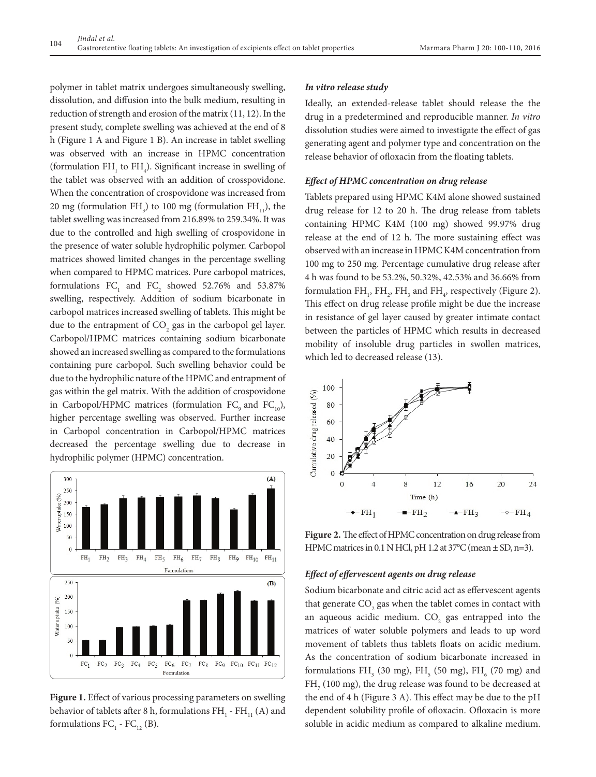polymer in tablet matrix undergoes simultaneously swelling, dissolution, and diffusion into the bulk medium, resulting in reduction of strength and erosion of the matrix (11, 12). In the present study, complete swelling was achieved at the end of 8 h (Figure 1 A and Figure 1 B). An increase in tablet swelling was observed with an increase in HPMC concentration (formulation  $FH_1$  to  $FH_4$ ). Significant increase in swelling of the tablet was observed with an addition of crosspovidone. When the concentration of crospovidone was increased from 20 mg (formulation FH<sub>3</sub>) to 100 mg (formulation FH<sub>11</sub>), the tablet swelling was increased from 216.89% to 259.34%. It was due to the controlled and high swelling of crospovidone in the presence of water soluble hydrophilic polymer. Carbopol matrices showed limited changes in the percentage swelling when compared to HPMC matrices. Pure carbopol matrices, formulations  $FC_1$  and  $FC_2$  showed 52.76% and 53.87% swelling, respectively. Addition of sodium bicarbonate in carbopol matrices increased swelling of tablets. This might be due to the entrapment of  $CO_2$  gas in the carbopol gel layer. Carbopol/HPMC matrices containing sodium bicarbonate showed an increased swelling as compared to the formulations containing pure carbopol. Such swelling behavior could be due to the hydrophilic nature of the HPMC and entrapment of gas within the gel matrix. With the addition of crospovidone in Carbopol/HPMC matrices (formulation  $FC_{0}$  and  $FC_{10}$ ), higher percentage swelling was observed. Further increase in Carbopol concentration in Carbopol/HPMC matrices decreased the percentage swelling due to decrease in hydrophilic polymer (HPMC) concentration.



**Figure 1.** Effect of various processing parameters on swelling behavior of tablets after 8 h, formulations  $\rm{FH}_{_{1}}$  -  $\rm{FH}_{_{11}}$  (A) and formulations  $FC_1$  -  $FC_{12}$  (B).

# *In vitro release study*

Ideally, an extended-release tablet should release the the drug in a predetermined and reproducible manner. *In vitro* dissolution studies were aimed to investigate the effect of gas generating agent and polymer type and concentration on the release behavior of ofloxacin from the floating tablets.

# *Effect of HPMC concentration on drug release*

Tablets prepared using HPMC K4M alone showed sustained drug release for 12 to 20 h. The drug release from tablets containing HPMC K4M (100 mg) showed 99.97% drug release at the end of 12 h. The more sustaining effect was observed with an increase in HPMC K4M concentration from 100 mg to 250 mg. Percentage cumulative drug release after 4 h was found to be 53.2%, 50.32%, 42.53% and 36.66% from formulation  $FH_1$ ,  $FH_2$ ,  $FH_3$  and  $FH_4$ , respectively (Figure 2). This effect on drug release profile might be due the increase in resistance of gel layer caused by greater intimate contact between the particles of HPMC which results in decreased mobility of insoluble drug particles in swollen matrices, which led to decreased release (13).



**Figure 2.** The effect of HPMC concentration on drug release from HPMC matrices in 0.1 N HCl, pH 1.2 at  $37^{\circ}$ C (mean  $\pm$  SD, n=3).

#### *Effect of effervescent agents on drug release*

Sodium bicarbonate and citric acid act as effervescent agents that generate  $\mathrm{CO}_2$  gas when the tablet comes in contact with an aqueous acidic medium.  $CO<sub>2</sub>$  gas entrapped into the matrices of water soluble polymers and leads to up word movement of tablets thus tablets floats on acidic medium. As the concentration of sodium bicarbonate increased in formulations  $FH_3$  (30 mg),  $FH_5$  (50 mg),  $FH_6$  (70 mg) and  $\text{FH}_{_{7}}$  (100 mg), the drug release was found to be decreased at the end of 4 h (Figure 3 A). This effect may be due to the pH dependent solubility profile of ofloxacin. Ofloxacin is more soluble in acidic medium as compared to alkaline medium.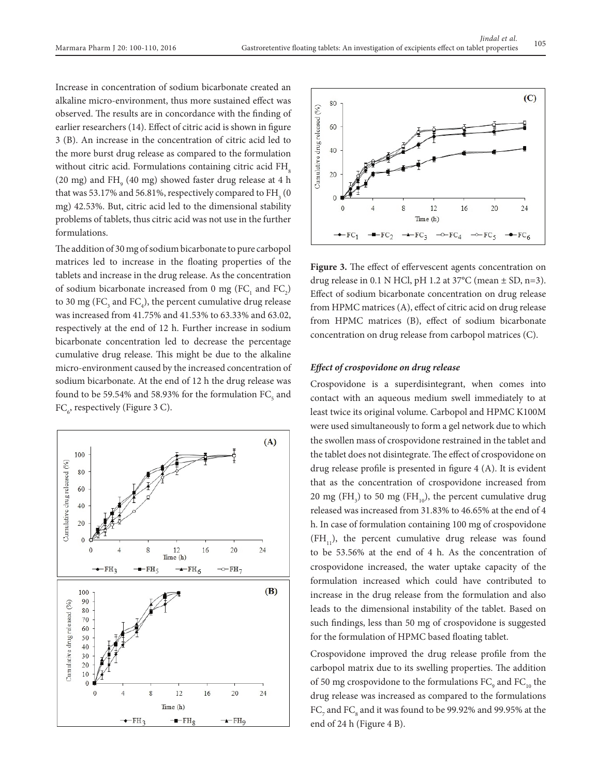Increase in concentration of sodium bicarbonate created an alkaline micro-environment, thus more sustained effect was observed. The results are in concordance with the finding of earlier researchers (14). Effect of citric acid is shown in figure 3 (B). An increase in the concentration of citric acid led to the more burst drug release as compared to the formulation without citric acid. Formulations containing citric acid FH<sub>®</sub> (20 mg) and  $FH_{9}$  (40 mg) showed faster drug release at 4 h that was 53.17% and 56.81%, respectively compared to  $\rm{FH}_{_{3}}(0)$ mg) 42.53%. But, citric acid led to the dimensional stability problems of tablets, thus citric acid was not use in the further formulations.

The addition of 30 mg of sodium bicarbonate to pure carbopol matrices led to increase in the floating properties of the tablets and increase in the drug release. As the concentration of sodium bicarbonate increased from 0 mg  $(FC_1$  and  $FC_2)$ to 30 mg (FC<sub>3</sub> and FC<sub>4</sub>), the percent cumulative drug release was increased from 41.75% and 41.53% to 63.33% and 63.02, respectively at the end of 12 h. Further increase in sodium bicarbonate concentration led to decrease the percentage cumulative drug release. This might be due to the alkaline micro-environment caused by the increased concentration of sodium bicarbonate. At the end of 12 h the drug release was found to be 59.54% and 58.93% for the formulation  $\rm{FC}_{_5}$  and  $\text{FC}_{\text{6}}$ , respectively (Figure 3 C).





Figure 3. The effect of effervescent agents concentration on drug release in 0.1 N HCl, pH 1.2 at  $37^{\circ}$ C (mean  $\pm$  SD, n=3). Effect of sodium bicarbonate concentration on drug release from HPMC matrices (A), effect of citric acid on drug release from HPMC matrices (B), effect of sodium bicarbonate concentration on drug release from carbopol matrices (C).

# *Effect of crospovidone on drug release*

Crospovidone is a superdisintegrant, when comes into contact with an aqueous medium swell immediately to at least twice its original volume. Carbopol and HPMC K100M were used simultaneously to form a gel network due to which the swollen mass of crospovidone restrained in the tablet and the tablet does not disintegrate. The effect of crospovidone on drug release profile is presented in figure 4 (A). It is evident that as the concentration of crospovidone increased from 20 mg (FH<sub>3</sub>) to 50 mg (FH<sub>10</sub>), the percent cumulative drug released was increased from 31.83% to 46.65% at the end of 4 h. In case of formulation containing 100 mg of crospovidone  $(FH<sub>11</sub>)$ , the percent cumulative drug release was found to be 53.56% at the end of 4 h. As the concentration of crospovidone increased, the water uptake capacity of the formulation increased which could have contributed to increase in the drug release from the formulation and also leads to the dimensional instability of the tablet. Based on such findings, less than 50 mg of crospovidone is suggested for the formulation of HPMC based floating tablet.

Crospovidone improved the drug release profile from the carbopol matrix due to its swelling properties. The addition of 50 mg crospovidone to the formulations  $\rm FC_{_9}$  and  $\rm FC_{_{10}}$  the drug release was increased as compared to the formulations  $\rm{FC}_7$  and  $\rm{FC}_8$  and it was found to be 99.92% and 99.95% at the end of 24 h (Figure 4 B).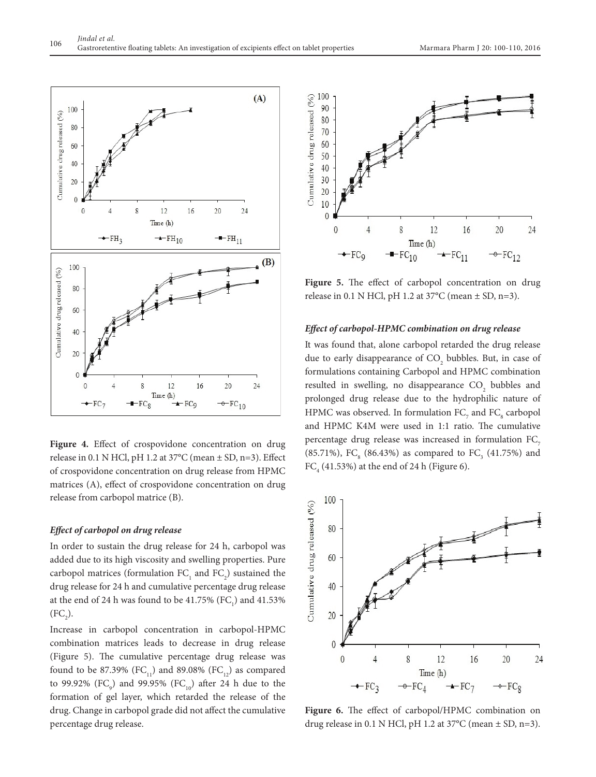

**Figure 4.** Effect of crospovidone concentration on drug release in 0.1 N HCl, pH 1.2 at  $37^{\circ}$ C (mean  $\pm$  SD, n=3). Effect of crospovidone concentration on drug release from HPMC matrices (A), effect of crospovidone concentration on drug release from carbopol matrice (B).

#### *Effect of carbopol on drug release*

In order to sustain the drug release for 24 h, carbopol was added due to its high viscosity and swelling properties. Pure carbopol matrices (formulation  $FC_1$  and  $FC_2$ ) sustained the drug release for 24 h and cumulative percentage drug release at the end of 24 h was found to be  $41.75\%$  (FC<sub>1</sub>) and  $41.53\%$  $(FC_2)$ .

Increase in carbopol concentration in carbopol-HPMC combination matrices leads to decrease in drug release (Figure 5). The cumulative percentage drug release was found to be 87.39% (FC<sub>11</sub>) and 89.08% (FC<sub>12</sub>) as compared to 99.92% (FC<sub>9</sub>) and 99.95% (FC<sub>10</sub>) after 24 h due to the formation of gel layer, which retarded the release of the drug. Change in carbopol grade did not affect the cumulative percentage drug release.



Figure 5. The effect of carbopol concentration on drug release in 0.1 N HCl, pH 1.2 at 37°C (mean ± SD, n=3).

#### *Effect of carbopol-HPMC combination on drug release*

It was found that, alone carbopol retarded the drug release due to early disappearance of  $CO_2$  bubbles. But, in case of formulations containing Carbopol and HPMC combination resulted in swelling, no disappearance  $CO<sub>2</sub>$  bubbles and prolonged drug release due to the hydrophilic nature of HPMC was observed. In formulation  $\mathtt{FC}_7$  and  $\mathtt{FC}_8$  carbopol and HPMC K4M were used in 1:1 ratio. The cumulative percentage drug release was increased in formulation FC<sub>7</sub> (85.71%), FC<sub>8</sub> (86.43%) as compared to FC<sub>3</sub> (41.75%) and  $FC<sub>4</sub>$  (41.53%) at the end of 24 h (Figure 6).



**Figure 6.** The effect of carbopol/HPMC combination on drug release in 0.1 N HCl, pH 1.2 at  $37^{\circ}$ C (mean  $\pm$  SD, n=3).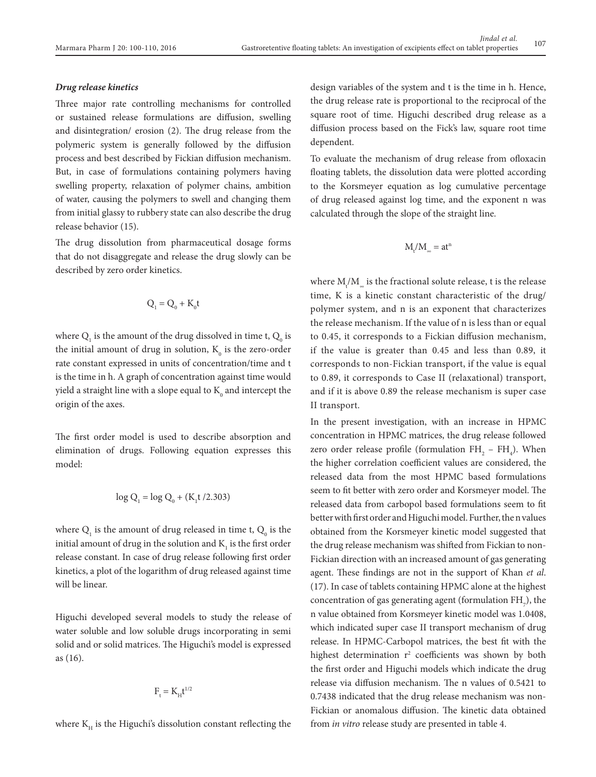#### *Drug release kinetics*

Three major rate controlling mechanisms for controlled or sustained release formulations are diffusion, swelling and disintegration/ erosion (2). The drug release from the polymeric system is generally followed by the diffusion process and best described by Fickian diffusion mechanism. But, in case of formulations containing polymers having swelling property, relaxation of polymer chains, ambition of water, causing the polymers to swell and changing them from initial glassy to rubbery state can also describe the drug release behavior (15).

The drug dissolution from pharmaceutical dosage forms that do not disaggregate and release the drug slowly can be described by zero order kinetics.

$$
Q_i = Q_0 + K_0 t
$$

where  $Q_i$  is the amount of the drug dissolved in time t,  $Q_0$  is the initial amount of drug in solution,  $K_{\scriptscriptstyle 0}$  is the zero-order rate constant expressed in units of concentration/time and t is the time in h. A graph of concentration against time would yield a straight line with a slope equal to  $\mathrm{K}_{{}_0}$  and intercept the origin of the axes.

The first order model is used to describe absorption and elimination of drugs. Following equation expresses this model:

$$
\log Q_1 = \log Q_0 + (K_1 t / 2.303)
$$

where  $Q_i$  is the amount of drug released in time t,  $Q_0$  is the initial amount of drug in the solution and  $\mathrm{K}_\mathrm{l}$  is the first order release constant. In case of drug release following first order kinetics, a plot of the logarithm of drug released against time will be linear.

Higuchi developed several models to study the release of water soluble and low soluble drugs incorporating in semi solid and or solid matrices. The Higuchi's model is expressed as (16).

$$
F_{\rm t}=K_{\rm H}t^{1/2}
$$

where  $K_{\mu}$  is the Higuchi's dissolution constant reflecting the

design variables of the system and t is the time in h. Hence, the drug release rate is proportional to the reciprocal of the square root of time. Higuchi described drug release as a diffusion process based on the Fick's law, square root time dependent.

To evaluate the mechanism of drug release from ofloxacin floating tablets, the dissolution data were plotted according to the Korsmeyer equation as log cumulative percentage of drug released against log time, and the exponent n was calculated through the slope of the straight line.

$$
M_t/M_{\scriptscriptstyle \infty} = at^n
$$

where  $\mathrm{M}_\mathrm{t}/\mathrm{M}_\mathrm{e}$  is the fractional solute release, t is the release time, K is a kinetic constant characteristic of the drug/ polymer system, and n is an exponent that characterizes the release mechanism. If the value of n is less than or equal to 0.45, it corresponds to a Fickian diffusion mechanism, if the value is greater than 0.45 and less than 0.89, it corresponds to non-Fickian transport, if the value is equal to 0.89, it corresponds to Case II (relaxational) transport, and if it is above 0.89 the release mechanism is super case II transport.

In the present investigation, with an increase in HPMC concentration in HPMC matrices, the drug release followed zero order release profile (formulation  $FH_{2} - FH_{4}$ ). When the higher correlation coefficient values are considered, the released data from the most HPMC based formulations seem to fit better with zero order and Korsmeyer model. The released data from carbopol based formulations seem to fit better with first order and Higuchi model. Further, the n values obtained from the Korsmeyer kinetic model suggested that the drug release mechanism was shifted from Fickian to non-Fickian direction with an increased amount of gas generating agent. These findings are not in the support of Khan *et al*. (17). In case of tablets containing HPMC alone at the highest concentration of gas generating agent (formulation  $\rm FH_{7}),$  the n value obtained from Korsmeyer kinetic model was 1.0408, which indicated super case II transport mechanism of drug release. In HPMC-Carbopol matrices, the best fit with the highest determination  $r^2$  coefficients was shown by both the first order and Higuchi models which indicate the drug release via diffusion mechanism. The n values of 0.5421 to 0.7438 indicated that the drug release mechanism was non-Fickian or anomalous diffusion. The kinetic data obtained from *in vitro* release study are presented in table 4.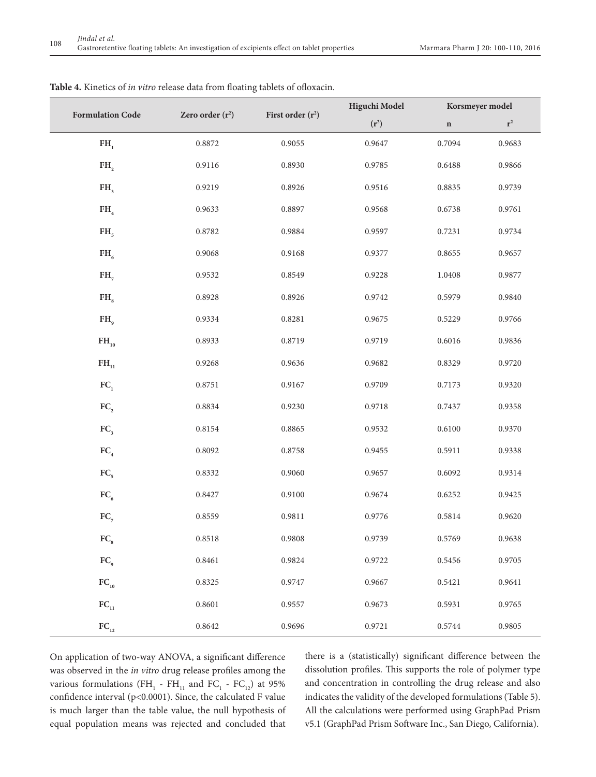| <b>Formulation Code</b>  | Zero order $(r^2)$ | First order $(r^2)$ | Higuchi Model | Korsmeyer model |                |  |
|--------------------------|--------------------|---------------------|---------------|-----------------|----------------|--|
|                          |                    |                     | $(r^2)$       | $\mathbf n$     | $\mathbf{r}^2$ |  |
| FH <sub>1</sub>          | 0.8872             | 0.9055              | 0.9647        | 0.7094          | 0.9683         |  |
| FH <sub>2</sub>          | 0.9116             | 0.8930              | 0.9785        | 0.6488          | 0.9866         |  |
| FH <sub>3</sub>          | 0.9219             | 0.8926              | 0.9516        | 0.8835          | 0.9739         |  |
| FH <sub>4</sub>          | 0.9633             | 0.8897              | 0.9568        | 0.6738          | 0.9761         |  |
| FH <sub>5</sub>          | 0.8782             | 0.9884              | 0.9597        | 0.7231          | 0.9734         |  |
| $FH_{6}$                 | 0.9068             | 0.9168              | 0.9377        | 0.8655          | 0.9657         |  |
| $FH_{7}$                 | 0.9532             | 0.8549              | 0.9228        | 1.0408          | 0.9877         |  |
| FH <sub>s</sub>          | 0.8928             | 0.8926              | 0.9742        | 0.5979          | 0.9840         |  |
| $FH_{q}$                 | 0.9334             | 0.8281              | 0.9675        | 0.5229          | 0.9766         |  |
| $FH_{10}$                | 0.8933             | 0.8719              | 0.9719        | 0.6016          | 0.9836         |  |
| $FH_{11}$                | 0.9268             | 0.9636              | 0.9682        | 0.8329          | 0.9720         |  |
| FC <sub>1</sub>          | 0.8751             | 0.9167              | 0.9709        | 0.7173          | 0.9320         |  |
| FC <sub>2</sub>          | 0.8834             | 0.9230              | 0.9718        | 0.7437          | 0.9358         |  |
| FC <sub>3</sub>          | 0.8154             | 0.8865              | 0.9532        | 0.6100          | 0.9370         |  |
| FC <sub>4</sub>          | 0.8092             | 0.8758              | 0.9455        | 0.5911          | 0.9338         |  |
| FC <sub>5</sub>          | 0.8332             | 0.9060              | 0.9657        | 0.6092          | 0.9314         |  |
| FC <sub>6</sub>          | 0.8427             | 0.9100              | 0.9674        | 0.6252          | 0.9425         |  |
| $FC_{7}$                 | 0.8559             | 0.9811              | 0.9776        | 0.5814          | 0.9620         |  |
| $\mathbf{FC}_\mathrm{s}$ | 0.8518             | 0.9808              | 0.9739        | 0.5769          | 0.9638         |  |
| $FC_{9}$                 | 0.8461             | 0.9824              | 0.9722        | 0.5456          | 0.9705         |  |
| $FC_{10}$                | 0.8325             | 0.9747              | 0.9667        | 0.5421          | 0.9641         |  |
| $FC_{11}$                | 0.8601             | 0.9557              | 0.9673        | 0.5931          | 0.9765         |  |
| $\rm{FC}_{_{12}}$        | 0.8642             | 0.9696              | 0.9721        | 0.5744          | 0.9805         |  |

**Table 4.** Kinetics of *in vitro* release data from floating tablets of ofloxacin.

On application of two-way ANOVA, a significant difference was observed in the *in vitro* drug release profiles among the various formulations ( $FH_1$  -  $FH_{11}$  and  $FC_1$  -  $FC_{12}$ ) at 95% confidence interval (p<0.0001). Since, the calculated F value is much larger than the table value, the null hypothesis of equal population means was rejected and concluded that

there is a (statistically) significant difference between the dissolution profiles. This supports the role of polymer type and concentration in controlling the drug release and also indicates the validity of the developed formulations (Table 5). All the calculations were performed using GraphPad Prism v5.1 (GraphPad Prism Software Inc., San Diego, California).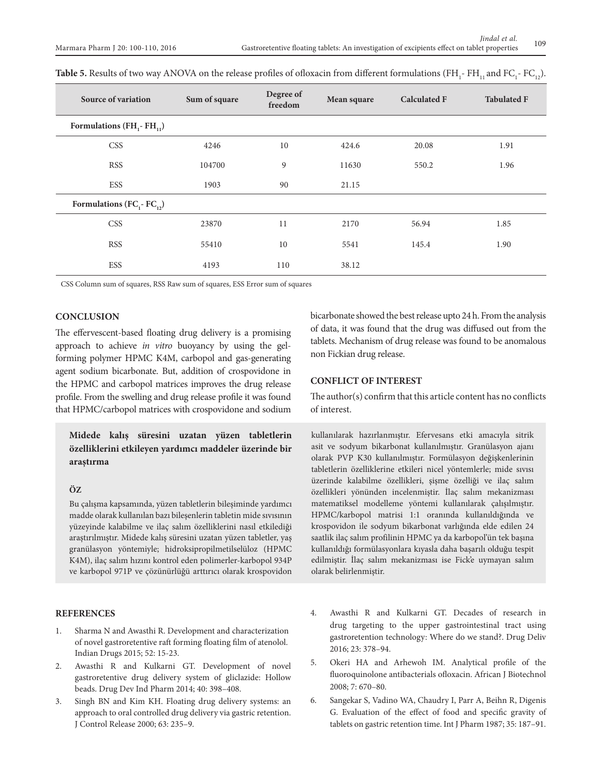| <b>Source of variation</b>          | Sum of square | Degree of<br>freedom | Mean square | <b>Calculated F</b> | <b>Tabulated F</b> |
|-------------------------------------|---------------|----------------------|-------------|---------------------|--------------------|
| Formulations $(FH_1 - FH_{11})$     |               |                      |             |                     |                    |
| <b>CSS</b>                          | 4246          | 10                   | 424.6       | 20.08               | 1.91               |
| <b>RSS</b>                          | 104700        | 9                    | 11630       | 550.2               | 1.96               |
| ESS                                 | 1903          | 90                   | 21.15       |                     |                    |
| Formulations ( $FC_1$ - $FC_{12}$ ) |               |                      |             |                     |                    |
| <b>CSS</b>                          | 23870         | 11                   | 2170        | 56.94               | 1.85               |
| <b>RSS</b>                          | 55410         | 10                   | 5541        | 145.4               | 1.90               |
| <b>ESS</b>                          | 4193          | 110                  | 38.12       |                     |                    |

| Table 5. Results of two way ANOVA on the release profiles of ofloxacin from different formulations (FH <sub>1</sub> - FH <sub>11</sub> and FC <sub>1</sub> - FC <sub>12</sub> ). |  |  |  |  |  |
|----------------------------------------------------------------------------------------------------------------------------------------------------------------------------------|--|--|--|--|--|
|----------------------------------------------------------------------------------------------------------------------------------------------------------------------------------|--|--|--|--|--|

CSS Column sum of squares, RSS Raw sum of squares, ESS Error sum of squares

# **CONCLUSION**

The effervescent-based floating drug delivery is a promising approach to achieve *in vitro* buoyancy by using the gelforming polymer HPMC K4M, carbopol and gas-generating agent sodium bicarbonate. But, addition of crospovidone in the HPMC and carbopol matrices improves the drug release profile. From the swelling and drug release profile it was found that HPMC/carbopol matrices with crospovidone and sodium

**Midede kalış süresini uzatan yüzen tabletlerin özelliklerini etkileyen yardımcı maddeler üzerinde bir araştırma** 

# **ÖZ**

Bu çalışma kapsamında, yüzen tabletlerin bileşiminde yardımcı madde olarak kullanılan bazı bileşenlerin tabletin mide sıvısının yüzeyinde kalabilme ve ilaç salım özelliklerini nasıl etkilediği araştırılmıştır. Midede kalış süresini uzatan yüzen tabletler, yaş granülasyon yöntemiyle; hidroksipropilmetilselüloz (HPMC K4M), ilaç salım hızını kontrol eden polimerler-karbopol 934P ve karbopol 971P ve çözünürlüğü arttırıcı olarak krospovidon bicarbonate showed the best release upto 24 h. From the analysis of data, it was found that the drug was diffused out from the tablets. Mechanism of drug release was found to be anomalous non Fickian drug release.

# **CONFLICT OF INTEREST**

The author(s) confirm that this article content has no conflicts of interest.

kullanılarak hazırlanmıştır. Efervesans etki amacıyla sitrik asit ve sodyum bikarbonat kullanılmıştır. Granülasyon ajanı olarak PVP K30 kullanılmıştır. Formülasyon değişkenlerinin tabletlerin özelliklerine etkileri nicel yöntemlerle; mide sıvısı üzerinde kalabilme özellikleri, şişme özelliği ve ilaç salım özellikleri yönünden incelenmiştir. İlaç salım mekanizması matematiksel modelleme yöntemi kullanılarak çalışılmıştır. HPMC/karbopol matrisi 1:1 oranında kullanıldığında ve krospovidon ile sodyum bikarbonat varlığında elde edilen 24 saatlik ilaç salım profilinin HPMC ya da karbopol'ün tek başına kullanıldığı formülasyonlara kıyasla daha başarılı olduğu tespit edilmiştir. İlaç salım mekanizması ise Fick'e uymayan salım olarak belirlenmiştir.

# **REFERENCES**

- 1. Sharma N and Awasthi R. Development and characterization of novel gastroretentive raft forming floating film of atenolol. Indian Drugs 2015; 52: 15-23.
- 2. Awasthi R and Kulkarni GT. Development of novel gastroretentive drug delivery system of gliclazide: Hollow beads. Drug Dev Ind Pharm 2014; 40: 398–408.
- 3. Singh BN and Kim KH. Floating drug delivery systems: an approach to oral controlled drug delivery via gastric retention. J Control Release 2000; 63: 235–9.
- 4. Awasthi R and Kulkarni GT. Decades of research in drug targeting to the upper gastrointestinal tract using gastroretention technology: Where do we stand?. Drug Deliv 2016; 23: 378–94.
- 5. Okeri HA and Arhewoh IM. Analytical profile of the fluoroquinolone antibacterials ofloxacin. African J Biotechnol 2008; 7: 670–80.
- 6. Sangekar S, Vadino WA, Chaudry I, Parr A, Beihn R, Digenis G. Evaluation of the effect of food and specific gravity of tablets on gastric retention time. Int J Pharm 1987; 35: 187–91.